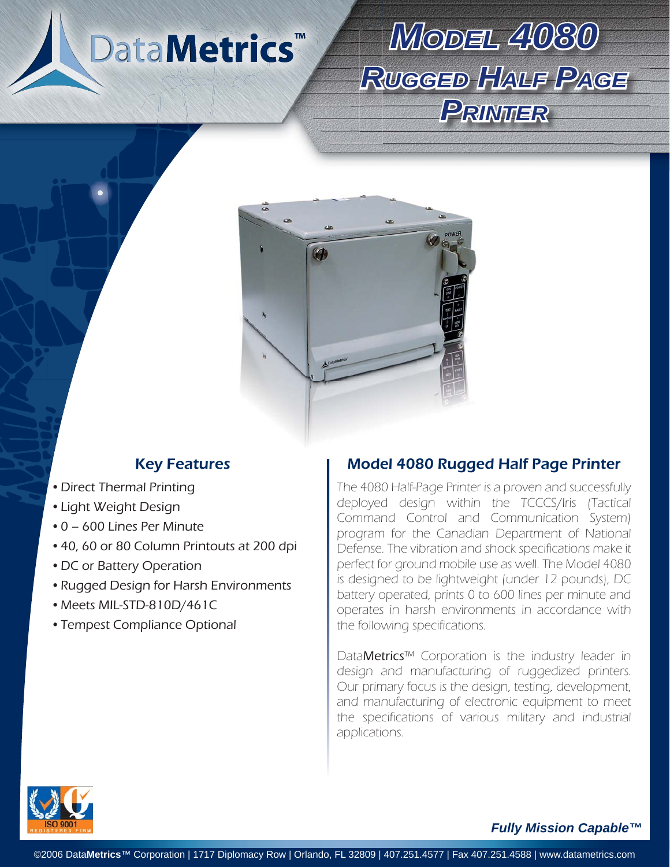# DataMetrics<sup>™</sup>

# *MODEL4080 RUGGEDHALFPAGE PRINTER*



- Direct Thermal Printing
- Light Weight Design •
- 0 600 Lines Per Minute
- 40, 60 or 80 Column Printouts at 200 dpi •
- DC or Battery Operation
- Rugged Design for Harsh Environments
- Meets MIL-STD-810D/461C
- Tempest Compliance Optional

## Key Features **Model 4080 Rugged Half Page Printer**

The 4080 Half-Page Printer is a proven and successfully deployed design within the TCCCS/Iris (Tactical Command Control and Communication System) program for the Canadian Department of National Defense. The vibration and shock specifications make it perfect for ground mobile use as well. The Model 4080 is designed to be lightweight (under 12 pounds), DC battery operated, prints 0 to 600 lines per minute and operates in harsh environments in accordance with the following specifications.

DataMetrics™ Corporation is the industry leader in design and manufacturing of ruggedized printers. Our primary focus is the design, testing, development, and manufacturing of electronic equipment to meet the specifications of various military and industrial applications.



#### *Fully Mission Capable™*